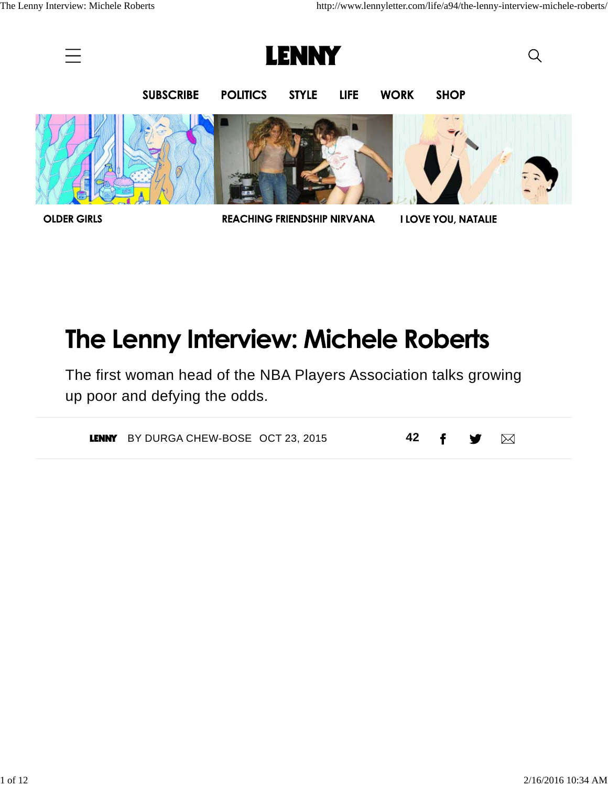

# The Lenny Interview: Michele Roberts

The first woman head of the NBA Players Association talks growing up poor and defying the odds.

| $42 \div$<br>LENNY BY DURGA CHEW-BOSE OCT 23, 2015 |  |  |
|----------------------------------------------------|--|--|
|----------------------------------------------------|--|--|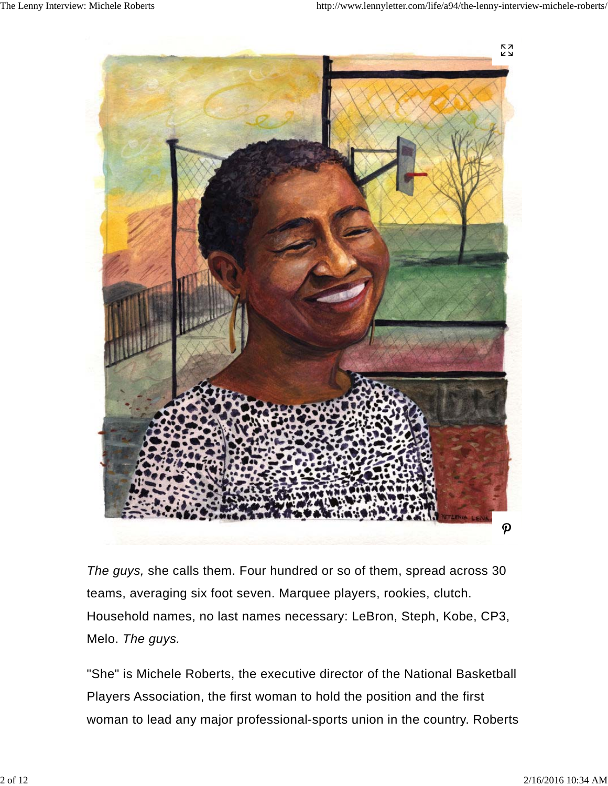

*The guys,* she calls them. Four hundred or so of them, spread across 30 teams, averaging six foot seven. Marquee players, rookies, clutch. Household names, no last names necessary: LeBron, Steph, Kobe, CP3, Melo. *The guys.*

"She" is Michele Roberts, the executive director of the National Basketball Players Association, the first woman to hold the position and the first woman to lead any major professional-sports union in the country. Roberts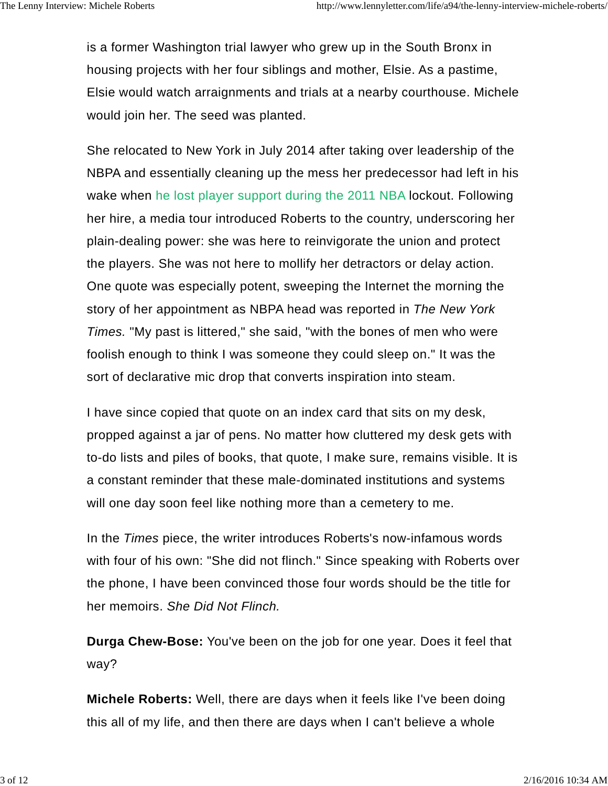is a former Washington trial lawyer who grew up in the South Bronx in housing projects with her four siblings and mother, Elsie. As a pastime, Elsie would watch arraignments and trials at a nearby courthouse. Michele would join her. The seed was planted.

She relocated to New York in July 2014 after taking over leadership of the NBPA and essentially cleaning up the mess her predecessor had left in his wake when he lost player support during the 2011 NBA lockout. Following her hire, a media tour introduced Roberts to the country, underscoring her plain-dealing power: she was here to reinvigorate the union and protect the players. She was not here to mollify her detractors or delay action. One quote was especially potent, sweeping the Internet the morning the story of her appointment as NBPA head was reported in *The New York Times.* "My past is littered," she said, "with the bones of men who were foolish enough to think I was someone they could sleep on." It was the sort of declarative mic drop that converts inspiration into steam.

I have since copied that quote on an index card that sits on my desk, propped against a jar of pens. No matter how cluttered my desk gets with to-do lists and piles of books, that quote, I make sure, remains visible. It is a constant reminder that these male-dominated institutions and systems will one day soon feel like nothing more than a cemetery to me.

In the *Times* piece, the writer introduces Roberts's now-infamous words with four of his own: "She did not flinch." Since speaking with Roberts over the phone, I have been convinced those four words should be the title for her memoirs. *She Did Not Flinch.*

**Durga Chew-Bose:** You've been on the job for one year. Does it feel that way?

**Michele Roberts:** Well, there are days when it feels like I've been doing this all of my life, and then there are days when I can't believe a whole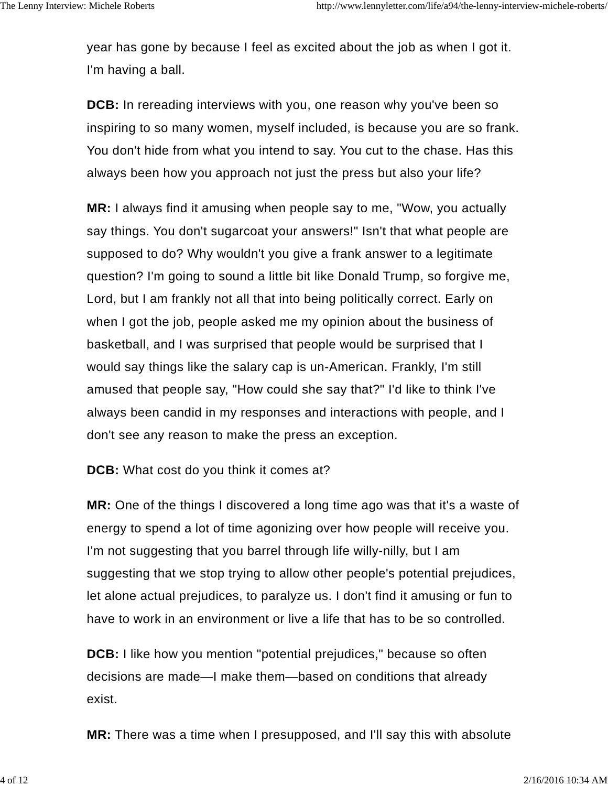year has gone by because I feel as excited about the job as when I got it. I'm having a ball.

**DCB:** In rereading interviews with you, one reason why you've been so inspiring to so many women, myself included, is because you are so frank. You don't hide from what you intend to say. You cut to the chase. Has this always been how you approach not just the press but also your life?

**MR:** I always find it amusing when people say to me, "Wow, you actually say things. You don't sugarcoat your answers!" Isn't that what people are supposed to do? Why wouldn't you give a frank answer to a legitimate question? I'm going to sound a little bit like Donald Trump, so forgive me, Lord, but I am frankly not all that into being politically correct. Early on when I got the job, people asked me my opinion about the business of basketball, and I was surprised that people would be surprised that I would say things like the salary cap is un-American. Frankly, I'm still amused that people say, "How could she say that?" I'd like to think I've always been candid in my responses and interactions with people, and I don't see any reason to make the press an exception.

**DCB:** What cost do you think it comes at?

**MR:** One of the things I discovered a long time ago was that it's a waste of energy to spend a lot of time agonizing over how people will receive you. I'm not suggesting that you barrel through life willy-nilly, but I am suggesting that we stop trying to allow other people's potential prejudices, let alone actual prejudices, to paralyze us. I don't find it amusing or fun to have to work in an environment or live a life that has to be so controlled.

**DCB:** I like how you mention "potential prejudices," because so often decisions are made—I make them—based on conditions that already exist.

**MR:** There was a time when I presupposed, and I'll say this with absolute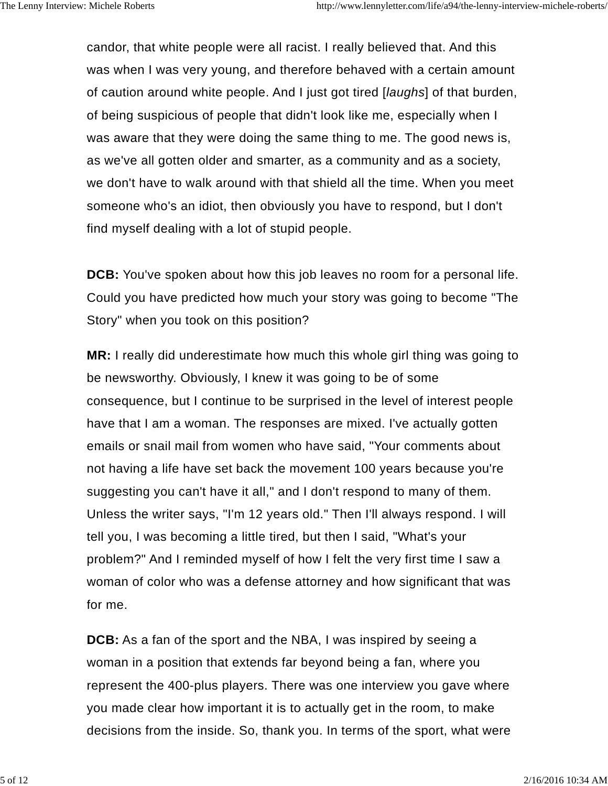candor, that white people were all racist. I really believed that. And this was when I was very young, and therefore behaved with a certain amount of caution around white people. And I just got tired [*laughs*] of that burden, of being suspicious of people that didn't look like me, especially when I was aware that they were doing the same thing to me. The good news is, as we've all gotten older and smarter, as a community and as a society, we don't have to walk around with that shield all the time. When you meet someone who's an idiot, then obviously you have to respond, but I don't find myself dealing with a lot of stupid people.

**DCB:** You've spoken about how this job leaves no room for a personal life. Could you have predicted how much your story was going to become "The Story" when you took on this position?

**MR:** I really did underestimate how much this whole girl thing was going to be newsworthy. Obviously, I knew it was going to be of some consequence, but I continue to be surprised in the level of interest people have that I am a woman. The responses are mixed. I've actually gotten emails or snail mail from women who have said, "Your comments about not having a life have set back the movement 100 years because you're suggesting you can't have it all," and I don't respond to many of them. Unless the writer says, "I'm 12 years old." Then I'll always respond. I will tell you, I was becoming a little tired, but then I said, "What's your problem?" And I reminded myself of how I felt the very first time I saw a woman of color who was a defense attorney and how significant that was for me.

**DCB:** As a fan of the sport and the NBA, I was inspired by seeing a woman in a position that extends far beyond being a fan, where you represent the 400-plus players. There was one interview you gave where you made clear how important it is to actually get in the room, to make decisions from the inside. So, thank you. In terms of the sport, what were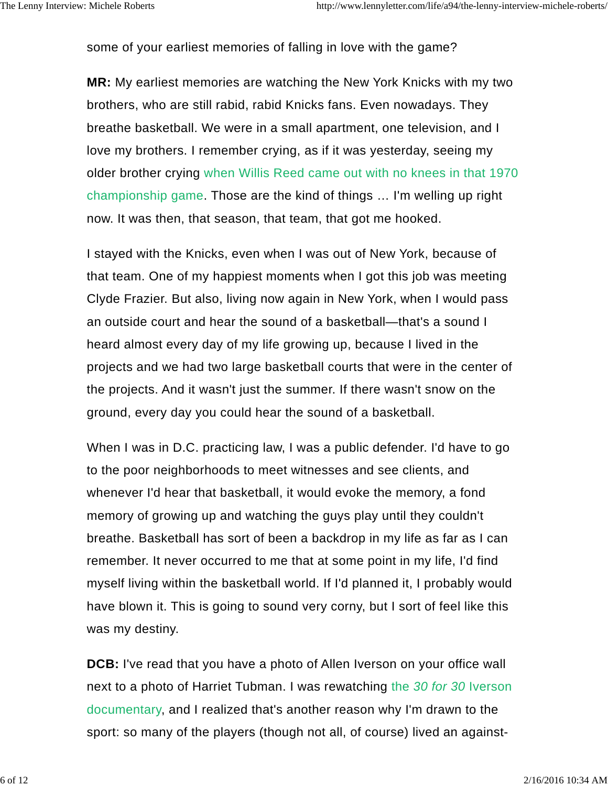some of your earliest memories of falling in love with the game?

**MR:** My earliest memories are watching the New York Knicks with my two brothers, who are still rabid, rabid Knicks fans. Even nowadays. They breathe basketball. We were in a small apartment, one television, and I love my brothers. I remember crying, as if it was yesterday, seeing my older brother crying when Willis Reed came out with no knees in that 1970 championship game. Those are the kind of things … I'm welling up right now. It was then, that season, that team, that got me hooked.

I stayed with the Knicks, even when I was out of New York, because of that team. One of my happiest moments when I got this job was meeting Clyde Frazier. But also, living now again in New York, when I would pass an outside court and hear the sound of a basketball—that's a sound I heard almost every day of my life growing up, because I lived in the projects and we had two large basketball courts that were in the center of the projects. And it wasn't just the summer. If there wasn't snow on the ground, every day you could hear the sound of a basketball.

When I was in D.C. practicing law, I was a public defender. I'd have to go to the poor neighborhoods to meet witnesses and see clients, and whenever I'd hear that basketball, it would evoke the memory, a fond memory of growing up and watching the guys play until they couldn't breathe. Basketball has sort of been a backdrop in my life as far as I can remember. It never occurred to me that at some point in my life, I'd find myself living within the basketball world. If I'd planned it, I probably would have blown it. This is going to sound very corny, but I sort of feel like this was my destiny.

**DCB:** I've read that you have a photo of Allen Iverson on your office wall next to a photo of Harriet Tubman. I was rewatching the *30 for 30* Iverson documentary, and I realized that's another reason why I'm drawn to the sport: so many of the players (though not all, of course) lived an against-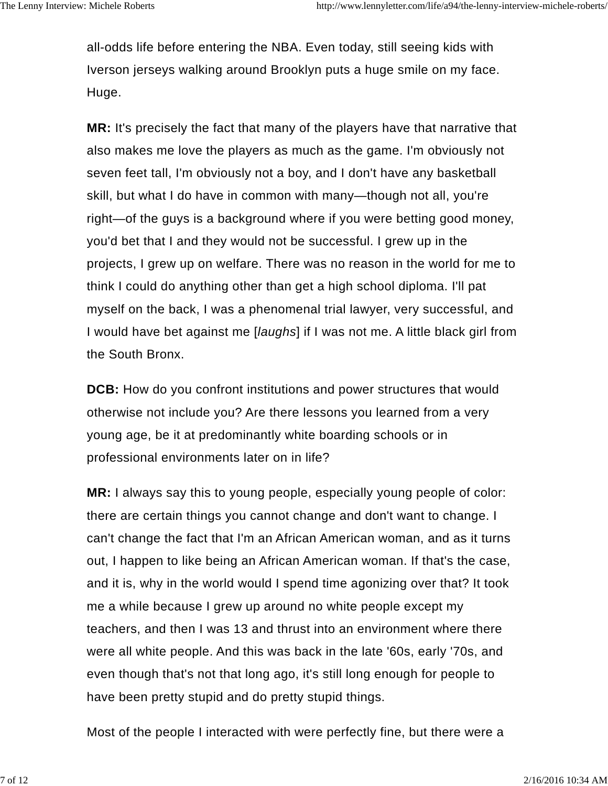all-odds life before entering the NBA. Even today, still seeing kids with Iverson jerseys walking around Brooklyn puts a huge smile on my face. Huge.

**MR:** It's precisely the fact that many of the players have that narrative that also makes me love the players as much as the game. I'm obviously not seven feet tall, I'm obviously not a boy, and I don't have any basketball skill, but what I do have in common with many—though not all, you're right—of the guys is a background where if you were betting good money, you'd bet that I and they would not be successful. I grew up in the projects, I grew up on welfare. There was no reason in the world for me to think I could do anything other than get a high school diploma. I'll pat myself on the back, I was a phenomenal trial lawyer, very successful, and I would have bet against me [*laughs*] if I was not me. A little black girl from the South Bronx.

**DCB:** How do you confront institutions and power structures that would otherwise not include you? Are there lessons you learned from a very young age, be it at predominantly white boarding schools or in professional environments later on in life?

**MR:** I always say this to young people, especially young people of color: there are certain things you cannot change and don't want to change. I can't change the fact that I'm an African American woman, and as it turns out, I happen to like being an African American woman. If that's the case, and it is, why in the world would I spend time agonizing over that? It took me a while because I grew up around no white people except my teachers, and then I was 13 and thrust into an environment where there were all white people. And this was back in the late '60s, early '70s, and even though that's not that long ago, it's still long enough for people to have been pretty stupid and do pretty stupid things.

Most of the people I interacted with were perfectly fine, but there were a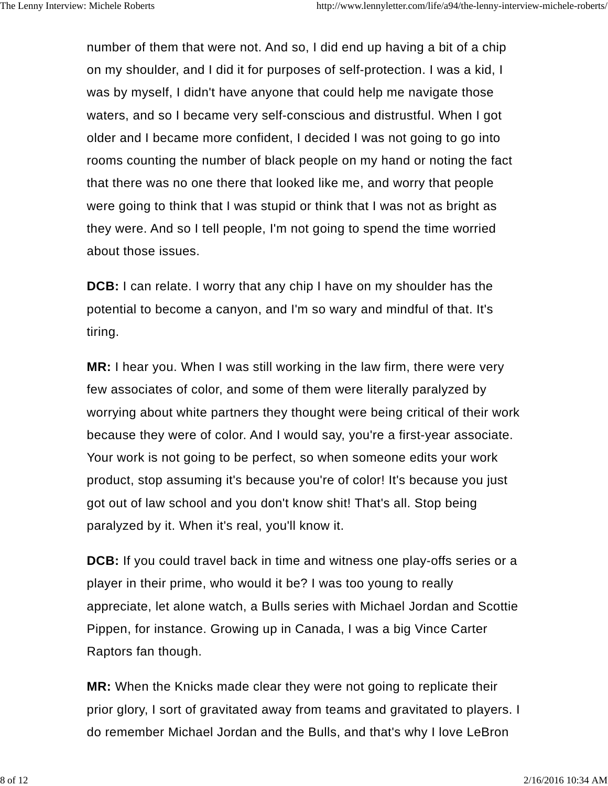number of them that were not. And so, I did end up having a bit of a chip on my shoulder, and I did it for purposes of self-protection. I was a kid, I was by myself, I didn't have anyone that could help me navigate those waters, and so I became very self-conscious and distrustful. When I got older and I became more confident, I decided I was not going to go into rooms counting the number of black people on my hand or noting the fact that there was no one there that looked like me, and worry that people were going to think that I was stupid or think that I was not as bright as they were. And so I tell people, I'm not going to spend the time worried about those issues.

**DCB:** I can relate. I worry that any chip I have on my shoulder has the potential to become a canyon, and I'm so wary and mindful of that. It's tiring.

**MR:** I hear you. When I was still working in the law firm, there were very few associates of color, and some of them were literally paralyzed by worrying about white partners they thought were being critical of their work because they were of color. And I would say, you're a first-year associate. Your work is not going to be perfect, so when someone edits your work product, stop assuming it's because you're of color! It's because you just got out of law school and you don't know shit! That's all. Stop being paralyzed by it. When it's real, you'll know it.

**DCB:** If you could travel back in time and witness one play-offs series or a player in their prime, who would it be? I was too young to really appreciate, let alone watch, a Bulls series with Michael Jordan and Scottie Pippen, for instance. Growing up in Canada, I was a big Vince Carter Raptors fan though.

**MR:** When the Knicks made clear they were not going to replicate their prior glory, I sort of gravitated away from teams and gravitated to players. I do remember Michael Jordan and the Bulls, and that's why I love LeBron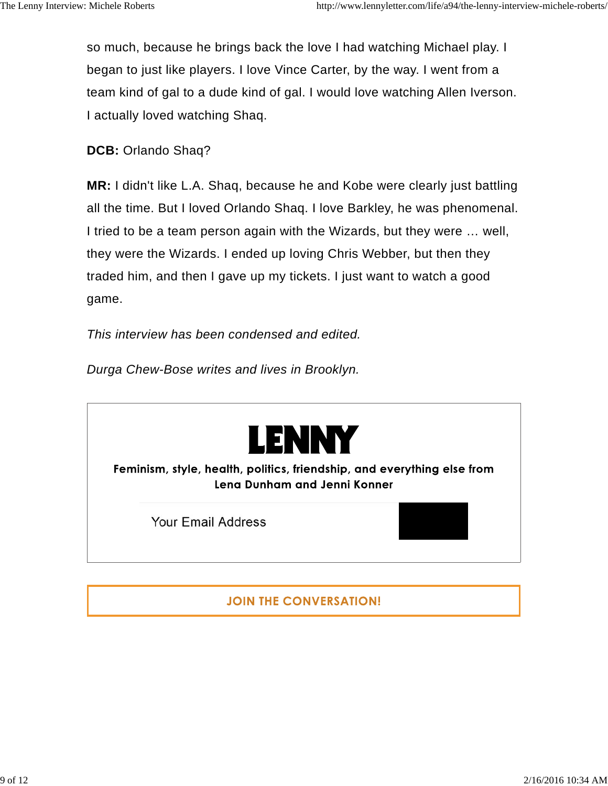so much, because he brings back the love I had watching Michael play. I began to just like players. I love Vince Carter, by the way. I went from a team kind of gal to a dude kind of gal. I would love watching Allen Iverson. I actually loved watching Shaq.

**DCB:** Orlando Shaq?

**MR:** I didn't like L.A. Shaq, because he and Kobe were clearly just battling all the time. But I loved Orlando Shaq. I love Barkley, he was phenomenal. I tried to be a team person again with the Wizards, but they were … well, they were the Wizards. I ended up loving Chris Webber, but then they traded him, and then I gave up my tickets. I just want to watch a good game.

*This interview has been condensed and edited.*

*Durga Chew-Bose writes and lives in Brooklyn.*

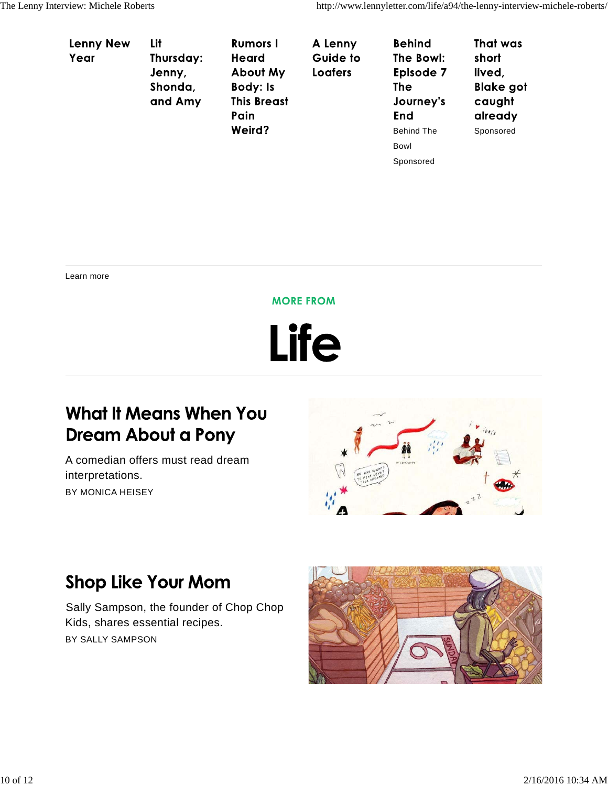| <b>Lenny New</b><br>Year | Lit<br>Thursday:<br>Jenny,<br>Shonda,<br>and Amy | <b>Rumors I</b><br>Heard<br><b>About My</b><br><b>Body: Is</b><br><b>This Breast</b><br>Pain<br>Weird? | A Lenny<br>Guide to<br>Loafers | <b>Behind</b><br>The Bowl:<br>Episode 7<br><b>The</b><br>Journey's<br>End<br><b>Behind The</b><br>Bowl<br>Sponsored | That was<br>short<br>lived,<br><b>Blake got</b><br>caught<br>already<br>Sponsored |
|--------------------------|--------------------------------------------------|--------------------------------------------------------------------------------------------------------|--------------------------------|---------------------------------------------------------------------------------------------------------------------|-----------------------------------------------------------------------------------|
|                          |                                                  |                                                                                                        |                                |                                                                                                                     |                                                                                   |

Learn more

**MORE FROM** 

Life

#### **What It Means When You Dream About a Pony**

A comedian offers must read dream interpretations. BY MONICA HEISEY



### **Shop Like Your Mom**

Sally Sampson, the founder of Chop Chop Kids, shares essential recipes. BY SALLY SAMPSON

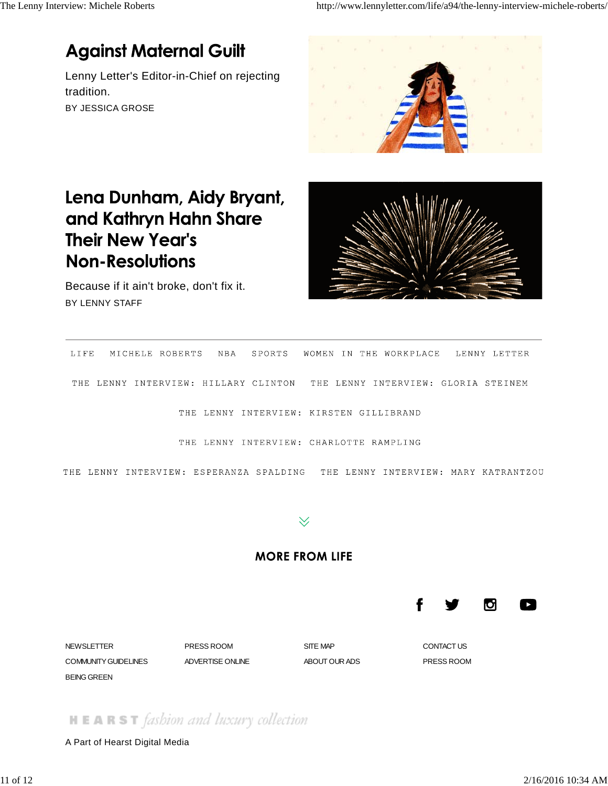## **Against Maternal Guilt**

Lenny Letter's Editor-in-Chief on rejecting tradition. BY JESSICA GROSE



### Lena Dunham, Aidy Bryant, and Kathryn Hahn Share **Their New Year's Non-Resolutions**

Because if it ain't broke, don't fix it. BY LENNY STAFF



LIFE MICHELE ROBERTS NBA SPORTS WOMEN IN THE WORKPLACE LENNY LETTER

THE LENNY INTERVIEW: HILLARY CLINTON THE LENNY INTERVIEW: GLORIA STEINEM

THE LENNY INTERVIEW: KIRSTEN GILLIBRAND

THE LENNY INTERVIEW: CHARLOTTE RAMPLING

THE LENNY INTERVIEW: ESPERANZA SPALDING THE LENNY INTERVIEW: MARY KATRANTZOU

#### $\searrow$

#### **MORE FROM LIFE**



NEWSLETTER **EXECUTE PRESS ROOM** SITE MAP SITE MAP CONTACT US COMMUNITY GUIDELINES ADVERTISE ONLINE ABOUT OUR ADS PRESS ROOM BEING GREEN

#### $H \nightharpoonup R$  R S T fashion and luxury collection

A Part of Hearst Digital Media